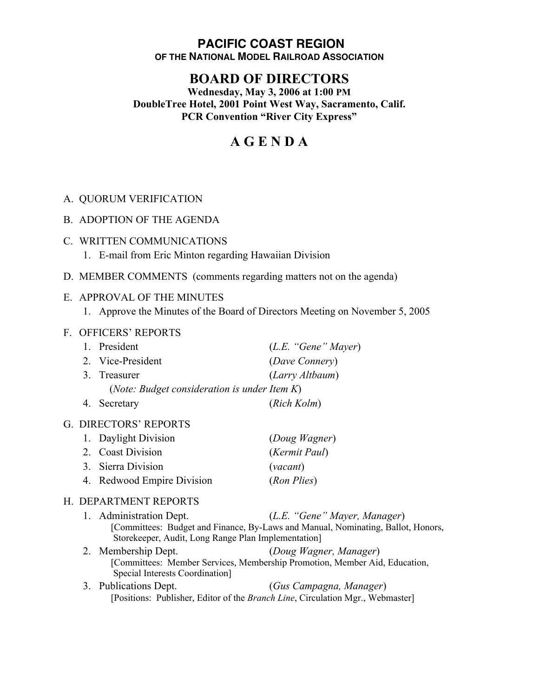#### **PACIFIC COAST REGION OF THE NATIONAL MODEL RAILROAD ASSOCIATION**

# **BOARD OF DIRECTORS**

**Wednesday, May 3, 2006 at 1:00 PM DoubleTree Hotel, 2001 Point West Way, Sacramento, Calif. PCR Convention "River City Express"**

# **A G E N D A**

## A. QUORUM VERIFICATION

- B. ADOPTION OF THE AGENDA
- C. WRITTEN COMMUNICATIONS
	- 1. E-mail from Eric Minton regarding Hawaiian Division
- D. MEMBER COMMENTS (comments regarding matters not on the agenda)

#### E. APPROVAL OF THE MINUTES

1. Approve the Minutes of the Board of Directors Meeting on November 5, 2005

#### F. OFFICERS' REPORTS

| 1. President                                          | (L.E. "Gene" Mayer) |  |
|-------------------------------------------------------|---------------------|--|
| 2. Vice-President                                     | (Dave Connery)      |  |
| 3. Treasurer                                          | (Larry Altbaum)     |  |
| ( <i>Note: Budget consideration is under Item K</i> ) |                     |  |
| 4. Secretary                                          | (Rich Kolm)         |  |

#### G. DIRECTORS' REPORTS

| 1. Daylight Division       | (Doug Wagner) |
|----------------------------|---------------|
| 2. Coast Division          | (Kermit Paul) |
| 3. Sierra Division         | (vacant)      |
| 4. Redwood Empire Division | (Ron Plies)   |

#### H. DEPARTMENT REPORTS

| 1. Administration Dept.                            | (L.E. "Gene" Mayer, Manager)                                                     |  |
|----------------------------------------------------|----------------------------------------------------------------------------------|--|
|                                                    | [Committees: Budget and Finance, By-Laws and Manual, Nominating, Ballot, Honors, |  |
| Storekeeper, Audit, Long Range Plan Implementation |                                                                                  |  |

- 2. Membership Dept. (*Doug Wagner, Manager*) [Committees: Member Services, Membership Promotion, Member Aid, Education, Special Interests Coordination]
- 3. Publications Dept. (*Gus Campagna, Manager*) [Positions: Publisher, Editor of the *Branch Line*, Circulation Mgr., Webmaster]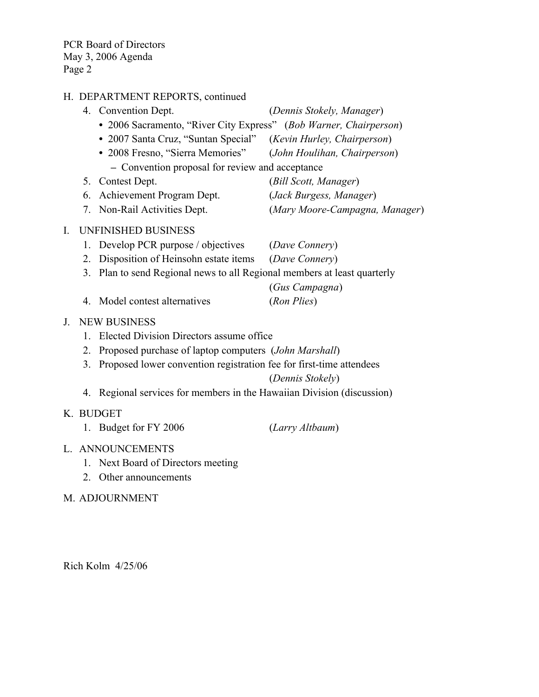PCR Board of Directors May 3, 2006 Agenda Page 2

# H. DEPARTMENT REPORTS, continued

|                |                                                 | 4. Convention Dept.                                                               | (Dennis Stokely, Manager)      |  |  |  |
|----------------|-------------------------------------------------|-----------------------------------------------------------------------------------|--------------------------------|--|--|--|
|                |                                                 | • 2006 Sacramento, "River City Express" (Bob Warner, Chairperson)                 |                                |  |  |  |
|                |                                                 | • 2007 Santa Cruz, "Suntan Special" (Kevin Hurley, Chairperson)                   |                                |  |  |  |
|                |                                                 | • 2008 Fresno, "Sierra Memories" (John Houlihan, Chairperson)                     |                                |  |  |  |
|                | - Convention proposal for review and acceptance |                                                                                   |                                |  |  |  |
|                |                                                 | 5. Contest Dept.                                                                  | (Bill Scott, Manager)          |  |  |  |
|                |                                                 | 6. Achievement Program Dept.                                                      | (Jack Burgess, Manager)        |  |  |  |
|                |                                                 | 7. Non-Rail Activities Dept.                                                      | (Mary Moore-Campagna, Manager) |  |  |  |
| $\mathbf{I}$ . |                                                 | <b>UNFINISHED BUSINESS</b>                                                        |                                |  |  |  |
|                |                                                 | 1. Develop PCR purpose / objectives                                               | (Dave Connery)                 |  |  |  |
|                | 2.                                              | Disposition of Heinsohn estate items                                              | (Dave Connery)                 |  |  |  |
|                | 3.                                              | Plan to send Regional news to all Regional members at least quarterly             |                                |  |  |  |
|                |                                                 |                                                                                   | (Gus Campagna)                 |  |  |  |
|                |                                                 | 4. Model contest alternatives                                                     | (Ron Plies)                    |  |  |  |
| J.             |                                                 | <b>NEW BUSINESS</b>                                                               |                                |  |  |  |
|                | 1.                                              | Elected Division Directors assume office                                          |                                |  |  |  |
|                | 2.                                              | Proposed purchase of laptop computers (John Marshall)                             |                                |  |  |  |
|                | 3.                                              | Proposed lower convention registration fee for first-time attendees               |                                |  |  |  |
|                |                                                 |                                                                                   | (Dennis Stokely)               |  |  |  |
|                |                                                 | 4. Regional services for members in the Hawaiian Division (discussion)            |                                |  |  |  |
|                |                                                 | K. BUDGET                                                                         |                                |  |  |  |
|                |                                                 | 1. Budget for FY 2006                                                             | (Larry Altbaum)                |  |  |  |
|                |                                                 | L. ANNOUNCEMENTS                                                                  |                                |  |  |  |
|                |                                                 | $1 \quad \text{M} \rightarrow \text{D} \rightarrow \text{A} \rightarrow \text{D}$ |                                |  |  |  |

- 1. Next Board of Directors meeting
- 2. Other announcements

## M. ADJOURNMENT

Rich Kolm 4/25/06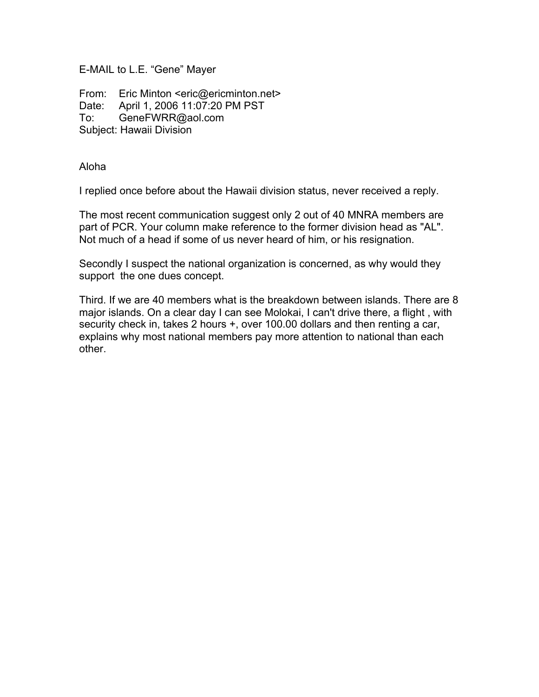E-MAIL to L.E. "Gene" Mayer

From: Eric Minton <eric@ericminton.net> Date: April 1, 2006 11:07:20 PM PST To: GeneFWRR@aol.com Subject: Hawaii Division

Aloha

I replied once before about the Hawaii division status, never received a reply.

The most recent communication suggest only 2 out of 40 MNRA members are part of PCR. Your column make reference to the former division head as "AL". Not much of a head if some of us never heard of him, or his resignation.

Secondly I suspect the national organization is concerned, as why would they support the one dues concept.

Third. If we are 40 members what is the breakdown between islands. There are 8 major islands. On a clear day I can see Molokai, I can't drive there, a flight , with security check in, takes 2 hours +, over 100.00 dollars and then renting a car, explains why most national members pay more attention to national than each other.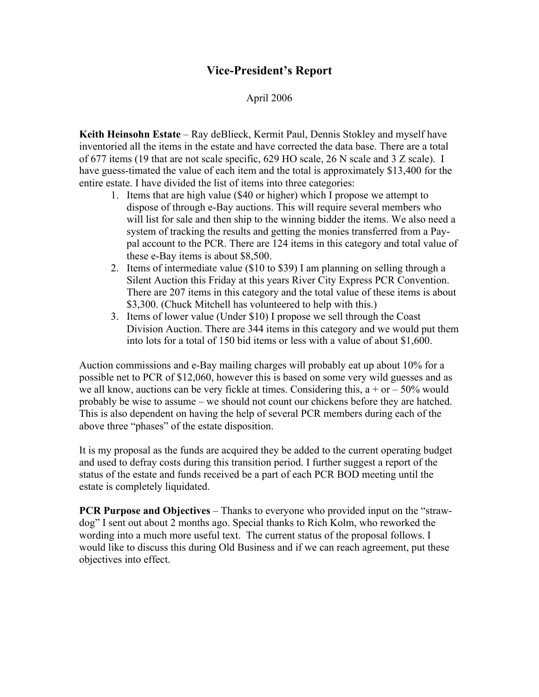# **Vice-President's Report**

# April 2006

**Keith Heinsohn Estate** – Ray deBlieck, Kermit Paul, Dennis Stokley and myself have inventoried all the items in the estate and have corrected the data base. There are a total of 677 items (19 that are not scale specific, 629 HO scale, 26 N scale and 3 Z scale). I have guess-timated the value of each item and the total is approximately \$13,400 for the entire estate. I have divided the list of items into three categories:

- 1. Items that are high value (\$40 or higher) which I propose we attempt to dispose of through e-Bay auctions. This will require several members who will list for sale and then ship to the winning bidder the items. We also need a system of tracking the results and getting the monies transferred from a Paypal account to the PCR. There are 124 items in this category and total value of these e-Bay items is about \$8,500.
- 2. Items of intermediate value (\$10 to \$39) I am planning on selling through a Silent Auction this Friday at this years River City Express PCR Convention. There are 207 items in this category and the total value of these items is about \$3,300. (Chuck Mitchell has volunteered to help with this.)
- 3. Items of lower value (Under \$10) I propose we sell through the Coast Division Auction. There are 344 items in this category and we would put them into lots for a total of 150 bid items or less with a value of about \$1,600.

Auction commissions and e-Bay mailing charges will probably eat up about 10% for a possible net to PCR of \$12,060, however this is based on some very wild guesses and as we all know, auctions can be very fickle at times. Considering this,  $a + or - 50\%$  would probably be wise to assume – we should not count our chickens before they are hatched. This is also dependent on having the help of several PCR members during each of the above three "phases" of the estate disposition.

It is my proposal as the funds are acquired they be added to the current operating budget and used to defray costs during this transition period. I further suggest a report of the status of the estate and funds received be a part of each PCR BOD meeting until the estate is completely liquidated.

**PCR Purpose and Objectives** – Thanks to everyone who provided input on the "strawdog" I sent out about 2 months ago. Special thanks to Rich Kolm, who reworked the wording into a much more useful text. The current status of the proposal follows. I would like to discuss this during Old Business and if we can reach agreement, put these objectives into effect.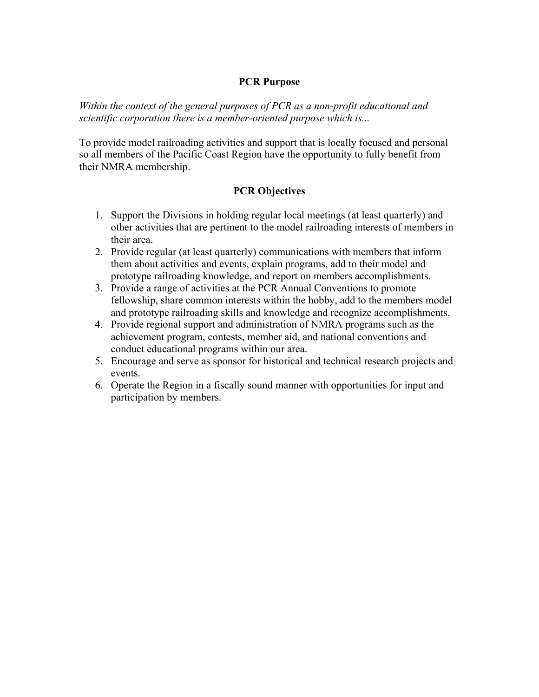#### **PCR Purpose**

*Within the context of the general purposes of PCR as a non-profit educational and scientific corporation there is a member-oriented purpose which is...*

To provide model railroading activities and support that is locally focused and personal so all members of the Pacific Coast Region have the opportunity to fully benefit from their NMRA membership.

## **PCR Objectives**

- 1. Support the Divisions in holding regular local meetings (at least quarterly) and other activities that are pertinent to the model railroading interests of members in their area.
- 2. Provide regular (at least quarterly) communications with members that inform them about activities and events, explain programs, add to their model and prototype railroading knowledge, and report on members accomplishments.
- 3. Provide a range of activities at the PCR Annual Conventions to promote fellowship, share common interests within the hobby, add to the members model and prototype railroading skills and knowledge and recognize accomplishments.
- 4. Provide regional support and administration of NMRA programs such as the achievement program, contests, member aid, and national conventions and conduct educational programs within our area.
- 5. Encourage and serve as sponsor for historical and technical research projects and events.
- 6. Operate the Region in a fiscally sound manner with opportunities for input and participation by members.